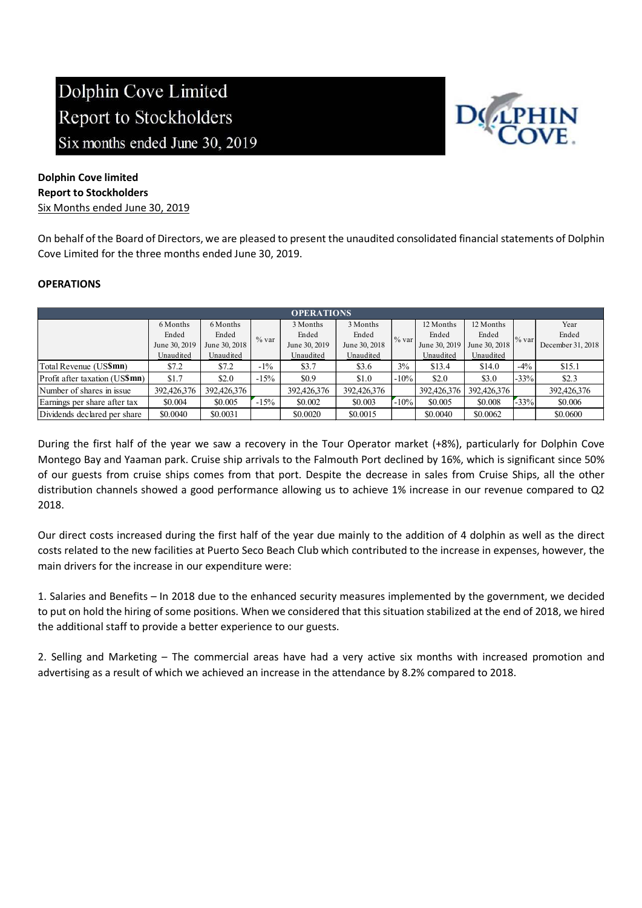

## Dolphin Cove limited Report to Stockholders Six Months ended June 30, 2019

On behalf of the Board of Directors, we are pleased to present the unaudited consolidated financial statements of Dolphin Cove Limited for the three months ended June 30, 2019.

## **OPERATIONS**

| <b>OPERATIONS</b>              |               |               |        |               |               |         |               |               |        |                   |
|--------------------------------|---------------|---------------|--------|---------------|---------------|---------|---------------|---------------|--------|-------------------|
|                                | 6 Months      | 6 Months      |        | 3 Months      | 3 Months      |         | 12 Months     | 12 Months     |        | Year              |
|                                | Ended         | Ended         | % var  | Ended         | Ended         | % var   | Ended         | Ended         | % var  | Ended             |
|                                | June 30, 2019 | June 30, 2018 |        | June 30, 2019 | June 30, 2018 |         | June 30, 2019 | June 30, 2018 |        | December 31, 2018 |
|                                | Unaudited     | Unaudited     |        | Unaudited     | Unaudited     |         | Unaudited     | Unaudited     |        |                   |
| Total Revenue (US\$mn)         | \$7.2         | \$7.2         | $-1\%$ | \$3.7         | \$3.6         | 3%      | \$13.4        | \$14.0        | $-4\%$ | \$15.1            |
| Profit after taxation (US\$mn) | \$1.7         | \$2.0         | $-15%$ | \$0.9         | \$1.0         | $-10%$  | \$2.0         | \$3.0         | $-33%$ | \$2.3             |
| Number of shares in issue      | 392,426,376   | 392,426,376   |        | 392,426,376   | 392,426,376   |         | 392,426,376   | 392,426,376   |        | 392,426,376       |
| Earnings per share after tax   | \$0.004       | \$0.005       | $-15%$ | \$0.002       | \$0.003       | $-10\%$ | \$0.005       | \$0.008       | $-33%$ | \$0.006           |
| Dividends declared per share   | \$0.0040      | \$0.0031      |        | \$0.0020      | \$0.0015      |         | \$0.0040      | \$0.0062      |        | \$0.0600          |

During the first half of the year we saw a recovery in the Tour Operator market (+8%), particularly for Dolphin Cove Montego Bay and Yaaman park. Cruise ship arrivals to the Falmouth Port declined by 16%, which is significant since 50% of our guests from cruise ships comes from that port. Despite the decrease in sales from Cruise Ships, all the other distribution channels showed a good performance allowing us to achieve 1% increase in our revenue compared to Q2 2018.

Our direct costs increased during the first half of the year due mainly to the addition of 4 dolphin as well as the direct costs related to the new facilities at Puerto Seco Beach Club which contributed to the increase in expenses, however, the main drivers for the increase in our expenditure were:

1. Salaries and Benefits – In 2018 due to the enhanced security measures implemented by the government, we decided to put on hold the hiring of some positions. When we considered that this situation stabilized at the end of 2018, we hired the additional staff to provide a better experience to our guests.

2. Selling and Marketing – The commercial areas have had a very active six months with increased promotion and advertising as a result of which we achieved an increase in the attendance by 8.2% compared to 2018.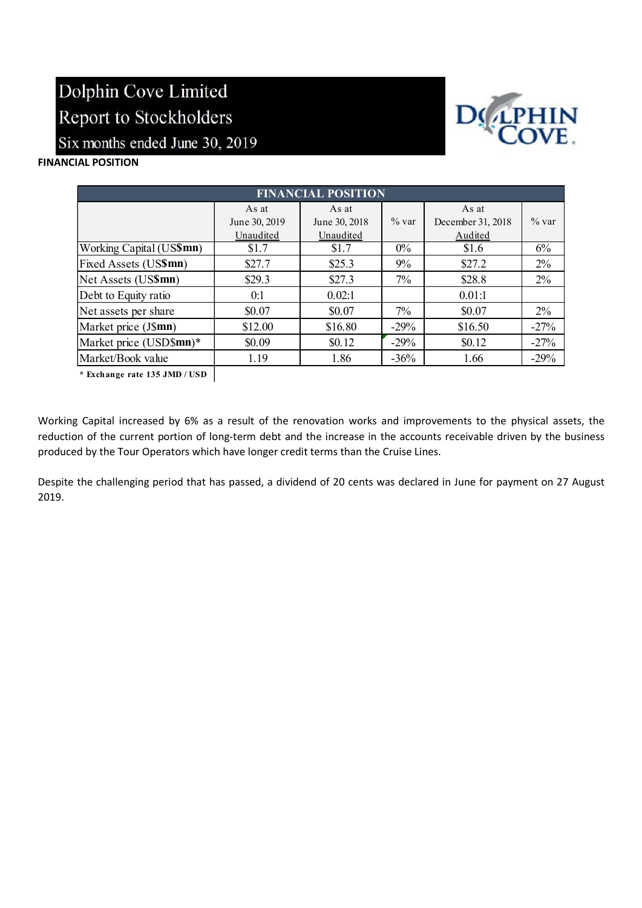

## FINANCIAL POSITION

| <b>FINANCIAL POSITION</b> |               |               |          |                   |          |  |  |  |
|---------------------------|---------------|---------------|----------|-------------------|----------|--|--|--|
|                           | As at         | As at         |          | As at             |          |  |  |  |
|                           | June 30, 2019 | June 30, 2018 | $\%$ var | December 31, 2018 | $\%$ var |  |  |  |
|                           | Unaudited     | Unaudited     |          | Audited           |          |  |  |  |
| Working Capital (US\$mn)  | \$1.7         | \$1.7         | $0\%$    | \$1.6             | 6%       |  |  |  |
| Fixed Assets (US\$mn)     | \$27.7        | \$25.3        | $9\%$    | \$27.2            | $2\%$    |  |  |  |
| Net Assets (US\$mn)       | \$29.3        | \$27.3        | 7%       | \$28.8            | $2\%$    |  |  |  |
| Debt to Equity ratio      | 0:1           | 0.02:1        |          | 0.01:1            |          |  |  |  |
| Net assets per share      | \$0.07        | \$0.07        | $7\%$    | \$0.07            | $2\%$    |  |  |  |
| Market price (J\$mn)      | \$12.00       | \$16.80       | $-29%$   | \$16.50           | $-27%$   |  |  |  |
| Market price (USD\$mn)*   | \$0.09        | \$0.12        | $-29%$   | \$0.12            | $-27%$   |  |  |  |
| Market/Book value         | 1.19          | 1.86          | $-36%$   | 1.66              | $-29%$   |  |  |  |

\* Exchange rate 135 JMD / USD

Working Capital increased by 6% as a result of the renovation works and improvements to the physical assets, the reduction of the current portion of long-term debt and the increase in the accounts receivable driven by the business produced by the Tour Operators which have longer credit terms than the Cruise Lines.

Despite the challenging period that has passed, a dividend of 20 cents was declared in June for payment on 27 August 2019.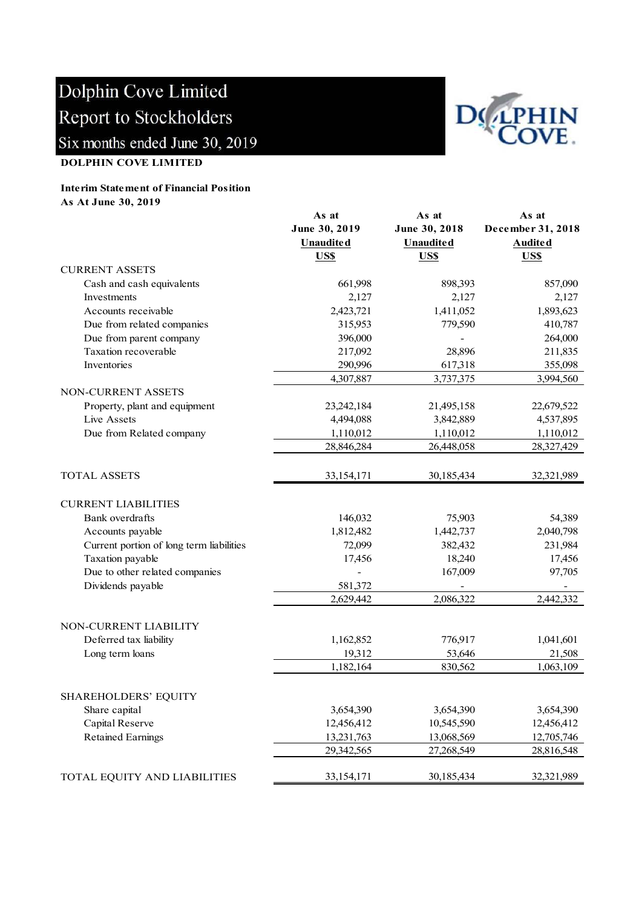

### DOLPHIN COVE LIMITED

#### Interim Statement of Financial Position As At June 30, 2019

|                                          | As at             | As at            | As at             |
|------------------------------------------|-------------------|------------------|-------------------|
|                                          | June 30, 2019     | June 30, 2018    | December 31, 2018 |
|                                          | <b>Unaudited</b>  | <b>Unaudited</b> | <b>Audited</b>    |
|                                          | US\$              | US\$             | US\$              |
| <b>CURRENT ASSETS</b>                    |                   |                  |                   |
| Cash and cash equivalents                | 661,998           | 898,393          | 857,090           |
| Investments                              | 2,127             | 2,127            | 2,127             |
| Accounts receivable                      | 2,423,721         | 1,411,052        | 1,893,623         |
| Due from related companies               | 315,953           | 779,590          | 410,787           |
| Due from parent company                  | 396,000           |                  | 264,000           |
| Taxation recoverable                     | 217,092           | 28,896           | 211,835           |
| Inventories                              | 290,996           | 617,318          | 355,098           |
|                                          | 4,307,887         | 3,737,375        | 3,994,560         |
| NON-CURRENT ASSETS                       |                   |                  |                   |
| Property, plant and equipment            | 23,242,184        | 21,495,158       | 22,679,522        |
| Live Assets                              | 4,494,088         | 3,842,889        | 4,537,895         |
| Due from Related company                 | 1,110,012         | 1,110,012        | 1,110,012         |
|                                          | 28,846,284        | 26,448,058       | 28,327,429        |
|                                          |                   |                  |                   |
| <b>TOTAL ASSETS</b>                      | 33,154,171        | 30,185,434       | 32,321,989        |
| <b>CURRENT LIABILITIES</b>               |                   |                  |                   |
| Bank overdrafts                          | 146,032           | 75,903           | 54,389            |
| Accounts payable                         | 1,812,482         | 1,442,737        | 2,040,798         |
| Current portion of long term liabilities | 72,099            | 382,432          | 231,984           |
| Taxation payable                         | 17,456            | 18,240           | 17,456            |
| Due to other related companies           | $\qquad \qquad -$ | 167,009          | 97,705            |
| Dividends payable                        | 581,372           |                  |                   |
|                                          | 2,629,442         | 2,086,322        | 2,442,332         |
|                                          |                   |                  |                   |
| NON-CURRENT LIABILITY                    |                   |                  |                   |
| Deferred tax liability                   | 1,162,852         | 776,917          | 1,041,601         |
| Long term loans                          | 19,312            | 53,646           | 21,508            |
|                                          | 1,182,164         | 830,562          | 1,063,109         |
|                                          |                   |                  |                   |
| SHAREHOLDERS' EQUITY                     |                   |                  |                   |
| Share capital                            | 3,654,390         | 3,654,390        | 3,654,390         |
| Capital Reserve                          | 12,456,412        | 10,545,590       | 12,456,412        |
| <b>Retained Earnings</b>                 | 13,231,763        | 13,068,569       | 12,705,746        |
|                                          | 29,342,565        | 27,268,549       | 28,816,548        |
|                                          |                   |                  |                   |
| TOTAL EQUITY AND LIABILITIES             | 33,154,171        | 30,185,434       | 32,321,989        |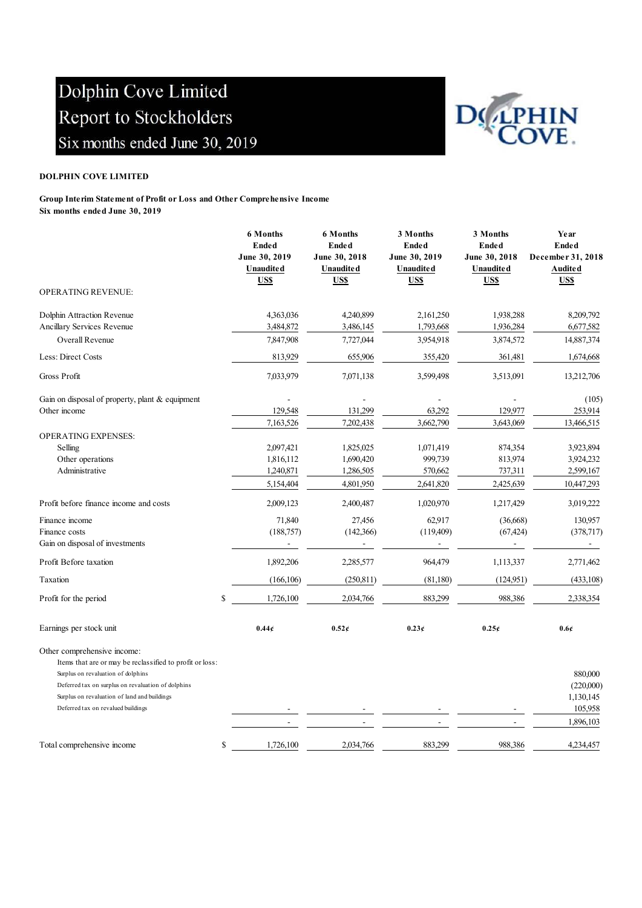

#### DOLPHIN COVE LIMITED

Group Interim Statement of Profit or Loss and Other Comprehensive Income Six months ended June 30, 2019

|                                                                                         | <b>6 Months</b><br><b>Ended</b><br>June 30, 2019<br>Unaudited<br>US\$ | <b>6 Months</b><br><b>Ended</b><br>June 30, 2018<br><b>Unaudited</b><br>US\$ | 3 Months<br><b>Ended</b><br>June 30, 2019<br><b>Unaudited</b><br>US\$ | 3 Months<br><b>Ended</b><br>June 30, 2018<br><b>Unaudited</b><br>US\$ | Year<br><b>Ended</b><br>December 31, 2018<br><b>Audited</b><br>US\$ |
|-----------------------------------------------------------------------------------------|-----------------------------------------------------------------------|------------------------------------------------------------------------------|-----------------------------------------------------------------------|-----------------------------------------------------------------------|---------------------------------------------------------------------|
| <b>OPERATING REVENUE:</b>                                                               |                                                                       |                                                                              |                                                                       |                                                                       |                                                                     |
| Dolphin Attraction Revenue                                                              | 4,363,036                                                             | 4,240,899                                                                    | 2,161,250                                                             | 1,938,288                                                             | 8,209,792                                                           |
| Ancillary Services Revenue                                                              | 3,484,872                                                             | 3,486,145                                                                    | 1,793,668                                                             | 1,936,284                                                             | 6,677,582                                                           |
| Overall Revenue                                                                         | 7,847,908                                                             | 7,727,044                                                                    | 3,954,918                                                             | 3,874,572                                                             | 14,887,374                                                          |
| Less: Direct Costs                                                                      | 813,929                                                               | 655,906                                                                      | 355,420                                                               | 361,481                                                               | 1,674,668                                                           |
| Gross Profit                                                                            | 7,033,979                                                             | 7,071,138                                                                    | 3,599,498                                                             | 3,513,091                                                             | 13,212,706                                                          |
| Gain on disposal of property, plant & equipment                                         |                                                                       |                                                                              |                                                                       |                                                                       | (105)                                                               |
| Other income                                                                            | 129,548                                                               | 131,299                                                                      | 63,292                                                                | 129,977                                                               | 253,914                                                             |
|                                                                                         | 7,163,526                                                             | 7,202,438                                                                    | 3,662,790                                                             | 3,643,069                                                             | 13,466,515                                                          |
| <b>OPERATING EXPENSES:</b><br>Selling                                                   | 2,097,421                                                             | 1,825,025                                                                    | 1,071,419                                                             | 874,354                                                               | 3,923,894                                                           |
| Other operations                                                                        | 1,816,112                                                             | 1,690,420                                                                    | 999,739                                                               | 813,974                                                               | 3,924,232                                                           |
| Administrative                                                                          | 1,240,871                                                             | 1,286,505                                                                    | 570,662                                                               | 737,311                                                               | 2,599,167                                                           |
|                                                                                         | 5,154,404                                                             | 4,801,950                                                                    | 2,641,820                                                             | 2,425,639                                                             | 10,447,293                                                          |
| Profit before finance income and costs                                                  | 2,009,123                                                             | 2,400,487                                                                    | 1,020,970                                                             | 1,217,429                                                             | 3,019,222                                                           |
| Finance income                                                                          | 71,840                                                                | 27,456                                                                       | 62.917                                                                | (36,668)                                                              | 130,957                                                             |
| Finance costs                                                                           | (188,757)                                                             | (142,366)                                                                    | (119,409)                                                             | (67, 424)                                                             | (378,717)                                                           |
| Gain on disposal of investments                                                         |                                                                       |                                                                              |                                                                       |                                                                       |                                                                     |
| Profit Before taxation                                                                  | 1,892,206                                                             | 2,285,577                                                                    | 964,479                                                               | 1,113,337                                                             | 2,771,462                                                           |
| Taxation                                                                                | (166, 106)                                                            | (250, 811)                                                                   | (81,180)                                                              | (124, 951)                                                            | (433,108)                                                           |
| Profit for the period                                                                   | \$<br>1,726,100                                                       | 2,034,766                                                                    | 883,299                                                               | 988,386                                                               | 2,338,354                                                           |
| Earnings per stock unit                                                                 | 0.44c                                                                 | $0.52\epsilon$                                                               | 0.23c                                                                 | 0.25c                                                                 | 0.6 <sub>0</sub>                                                    |
| Other comprehensive income:<br>Items that are or may be reclassified to profit or loss: |                                                                       |                                                                              |                                                                       |                                                                       |                                                                     |
| Surplus on revaluation of dolphins                                                      |                                                                       |                                                                              |                                                                       |                                                                       | 880,000                                                             |
| Deferred tax on surplus on revaluation of dolphins                                      |                                                                       |                                                                              |                                                                       |                                                                       | (220,000)                                                           |
| Surplus on revaluation of land and buildings                                            |                                                                       |                                                                              |                                                                       |                                                                       | 1,130,145                                                           |
| Deferred tax on revalued buildings                                                      |                                                                       |                                                                              |                                                                       |                                                                       | 105,958                                                             |
|                                                                                         |                                                                       |                                                                              |                                                                       |                                                                       | 1,896,103                                                           |
| Total comprehensive income                                                              | \$<br>1,726,100                                                       | 2,034,766                                                                    | 883,299                                                               | 988,386                                                               | 4,234,457                                                           |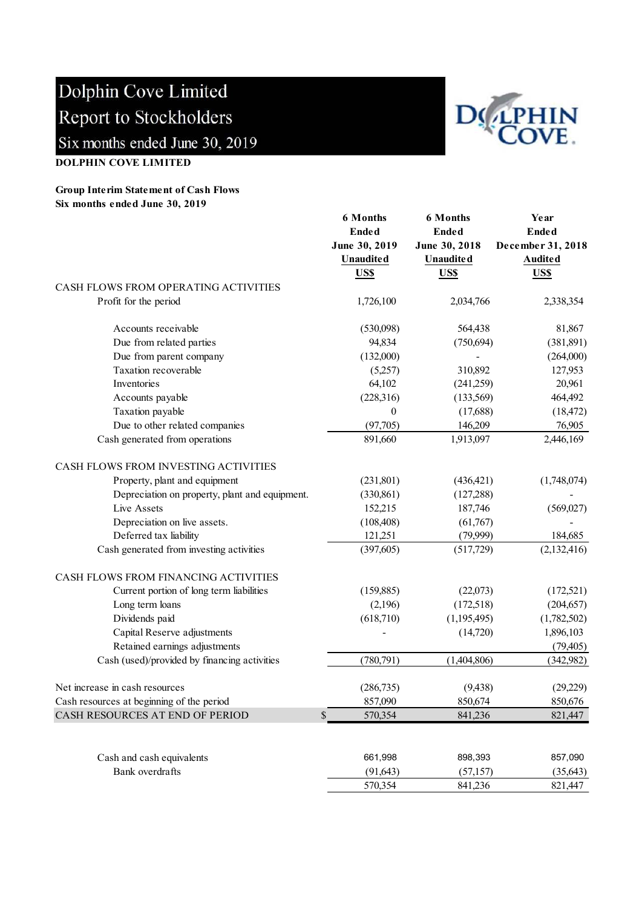

## Group Interim Statement of Cash Flows Six months ended June 30, 2019



|                                                | <b>6 Months</b>              | <b>6 Months</b>  | Year              |
|------------------------------------------------|------------------------------|------------------|-------------------|
|                                                | <b>Ended</b><br><b>Ended</b> |                  | <b>Ended</b>      |
|                                                | June 30, 2019                | June 30, 2018    | December 31, 2018 |
|                                                | <b>Unaudited</b>             | <b>Unaudited</b> | <b>Audited</b>    |
|                                                | US\$                         | US\$             | US\$              |
| CASH FLOWS FROM OPERATING ACTIVITIES           |                              |                  |                   |
| Profit for the period                          | 1,726,100                    | 2,034,766        | 2,338,354         |
| Accounts receivable                            | (530,098)                    | 564,438          | 81,867            |
| Due from related parties                       | 94,834                       | (750, 694)       | (381, 891)        |
| Due from parent company                        | (132,000)                    |                  | (264,000)         |
| Taxation recoverable                           | (5,257)                      | 310,892          | 127,953           |
| Inventories                                    | 64,102                       | (241,259)        | 20,961            |
| Accounts payable                               | (228,316)                    | (133,569)        | 464,492           |
| Taxation payable                               | $\theta$                     | (17,688)         | (18, 472)         |
| Due to other related companies                 | (97,705)                     | 146,209          | 76,905            |
| Cash generated from operations                 | 891,660                      | 1,913,097        | 2,446,169         |
| CASH FLOWS FROM INVESTING ACTIVITIES           |                              |                  |                   |
| Property, plant and equipment                  | (231, 801)                   | (436, 421)       | (1,748,074)       |
| Depreciation on property, plant and equipment. | (330, 861)                   | (127, 288)       |                   |
| Live Assets                                    | 152,215                      | 187,746          | (569, 027)        |
| Depreciation on live assets.                   | (108, 408)                   | (61,767)         |                   |
| Deferred tax liability                         | 121,251                      | (79,999)         | 184,685           |
| Cash generated from investing activities       | (397, 605)                   | (517,729)        | (2,132,416)       |
| CASH FLOWS FROM FINANCING ACTIVITIES           |                              |                  |                   |
| Current portion of long term liabilities       | (159, 885)                   | (22,073)         | (172, 521)        |
| Long term loans                                | (2,196)                      | (172,518)        | (204, 657)        |
| Dividends paid                                 | (618,710)                    | (1,195,495)      | (1,782,502)       |
| Capital Reserve adjustments                    |                              | (14,720)         | 1,896,103         |
| Retained earnings adjustments                  |                              |                  | (79, 405)         |
| Cash (used)/provided by financing activities   | (780, 791)                   | (1,404,806)      | (342, 982)        |
| Net increase in cash resources                 | (286, 735)                   | (9, 438)         | (29,229)          |
| Cash resources at beginning of the period      | 857,090                      | 850,674          | 850,676           |
| CASH RESOURCES AT END OF PERIOD                | $\mathbb{S}$<br>570,354      | 841,236          | 821,447           |
|                                                |                              |                  |                   |
| Cash and cash equivalents                      | 661,998                      | 898,393          | 857,090           |
| Bank overdrafts                                | (91, 643)                    | (57, 157)        | (35, 643)         |
|                                                | 570,354                      | 841,236          | 821,447           |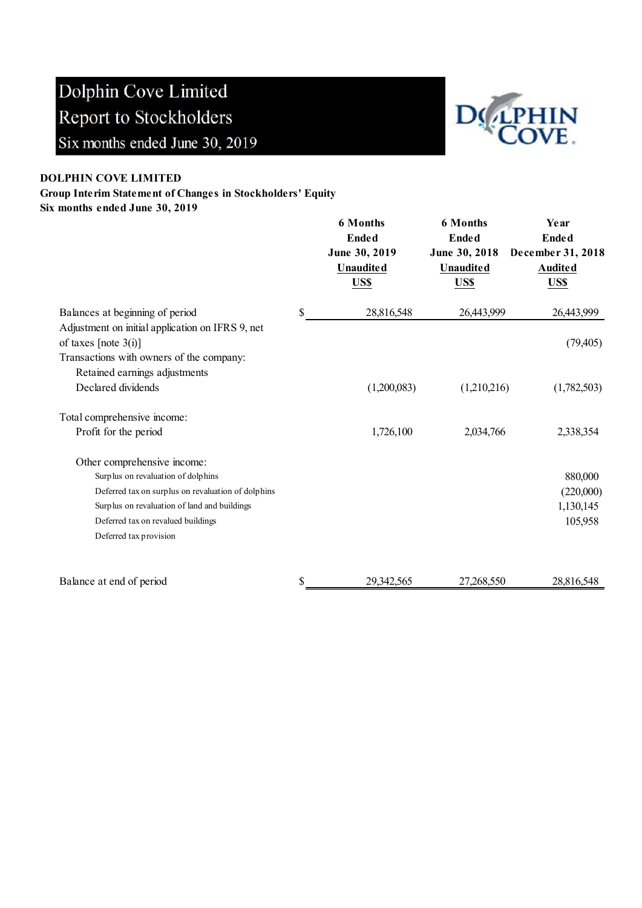

### DOLPHIN COVE LIMITED

Group Interim Statement of Changes in Stockholders' Equity

Six months ended June 30, 2019

|                                                                             |              | <b>6 Months</b><br><b>Ended</b><br>June 30, 2019<br><b>Unaudited</b><br>US\$ | <b>6 Months</b><br><b>Ended</b><br>June 30, 2018<br><b>Unaudited</b><br>US\$ | Year<br><b>Ended</b><br>December 31, 2018<br><b>Audited</b><br>US\$ |
|-----------------------------------------------------------------------------|--------------|------------------------------------------------------------------------------|------------------------------------------------------------------------------|---------------------------------------------------------------------|
| Balances at beginning of period                                             | $\mathbb{S}$ | 28,816,548                                                                   | 26,443,999                                                                   | 26,443,999                                                          |
| Adjustment on initial application on IFRS 9, net<br>of taxes [note $3(i)$ ] |              |                                                                              |                                                                              | (79, 405)                                                           |
| Transactions with owners of the company:                                    |              |                                                                              |                                                                              |                                                                     |
| Retained earnings adjustments                                               |              |                                                                              |                                                                              |                                                                     |
| Declared dividends                                                          |              | (1,200,083)                                                                  | (1,210,216)                                                                  | (1,782,503)                                                         |
| Total comprehensive income:                                                 |              |                                                                              |                                                                              |                                                                     |
| Profit for the period                                                       |              | 1,726,100                                                                    | 2,034,766                                                                    | 2,338,354                                                           |
| Other comprehensive income:                                                 |              |                                                                              |                                                                              |                                                                     |
| Surplus on revaluation of dolphins                                          |              |                                                                              |                                                                              | 880,000                                                             |
| Deferred tax on surplus on revaluation of dolphins                          |              |                                                                              |                                                                              | (220,000)                                                           |
| Surplus on revaluation of land and buildings                                |              |                                                                              |                                                                              | 1,130,145                                                           |
| Deferred tax on revalued buildings                                          |              |                                                                              |                                                                              | 105,958                                                             |
| Deferred tax provision                                                      |              |                                                                              |                                                                              |                                                                     |
| Balance at end of period                                                    | \$           | 29,342,565                                                                   | 27,268,550                                                                   | 28,816,548                                                          |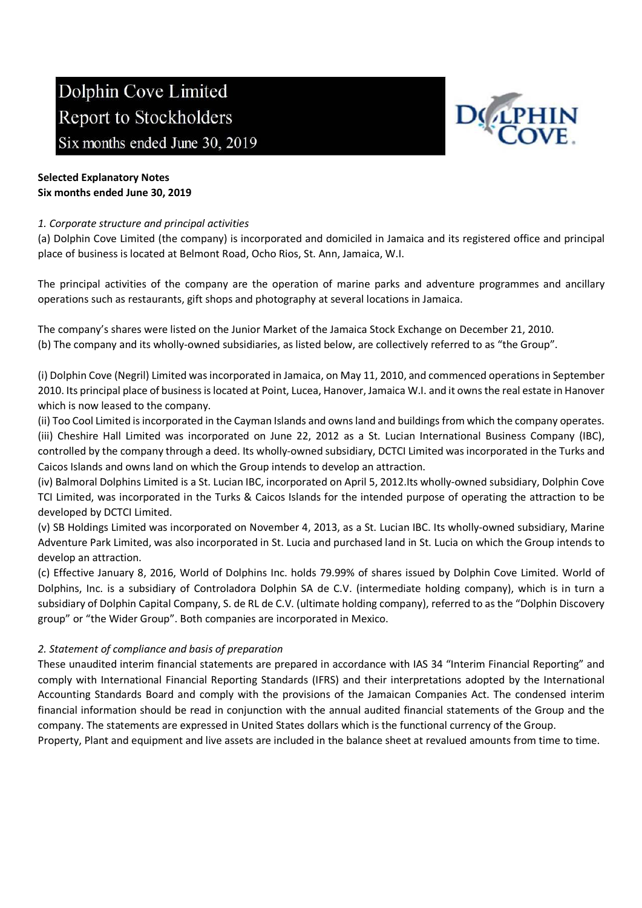

# Selected Explanatory Notes Six months ended June 30, 2019

## 1. Corporate structure and principal activities

(a) Dolphin Cove Limited (the company) is incorporated and domiciled in Jamaica and its registered office and principal place of business is located at Belmont Road, Ocho Rios, St. Ann, Jamaica, W.I.

The principal activities of the company are the operation of marine parks and adventure programmes and ancillary operations such as restaurants, gift shops and photography at several locations in Jamaica.

The company's shares were listed on the Junior Market of the Jamaica Stock Exchange on December 21, 2010. (b) The company and its wholly-owned subsidiaries, as listed below, are collectively referred to as "the Group".

(i) Dolphin Cove (Negril) Limited was incorporated in Jamaica, on May 11, 2010, and commenced operations in September 2010. Its principal place of business is located at Point, Lucea, Hanover, Jamaica W.I. and it owns the real estate in Hanover which is now leased to the company.

(ii) Too Cool Limited is incorporated in the Cayman Islands and owns land and buildings from which the company operates. (iii) Cheshire Hall Limited was incorporated on June 22, 2012 as a St. Lucian International Business Company (IBC), controlled by the company through a deed. Its wholly-owned subsidiary, DCTCI Limited was incorporated in the Turks and Caicos Islands and owns land on which the Group intends to develop an attraction.

(iv) Balmoral Dolphins Limited is a St. Lucian IBC, incorporated on April 5, 2012.Its wholly-owned subsidiary, Dolphin Cove TCI Limited, was incorporated in the Turks & Caicos Islands for the intended purpose of operating the attraction to be developed by DCTCI Limited.

(v) SB Holdings Limited was incorporated on November 4, 2013, as a St. Lucian IBC. Its wholly-owned subsidiary, Marine Adventure Park Limited, was also incorporated in St. Lucia and purchased land in St. Lucia on which the Group intends to develop an attraction.

(c) Effective January 8, 2016, World of Dolphins Inc. holds 79.99% of shares issued by Dolphin Cove Limited. World of Dolphins, Inc. is a subsidiary of Controladora Dolphin SA de C.V. (intermediate holding company), which is in turn a subsidiary of Dolphin Capital Company, S. de RL de C.V. (ultimate holding company), referred to as the "Dolphin Discovery group" or "the Wider Group". Both companies are incorporated in Mexico.

## 2. Statement of compliance and basis of preparation

These unaudited interim financial statements are prepared in accordance with IAS 34 "Interim Financial Reporting" and comply with International Financial Reporting Standards (IFRS) and their interpretations adopted by the International Accounting Standards Board and comply with the provisions of the Jamaican Companies Act. The condensed interim financial information should be read in conjunction with the annual audited financial statements of the Group and the company. The statements are expressed in United States dollars which is the functional currency of the Group.

Property, Plant and equipment and live assets are included in the balance sheet at revalued amounts from time to time.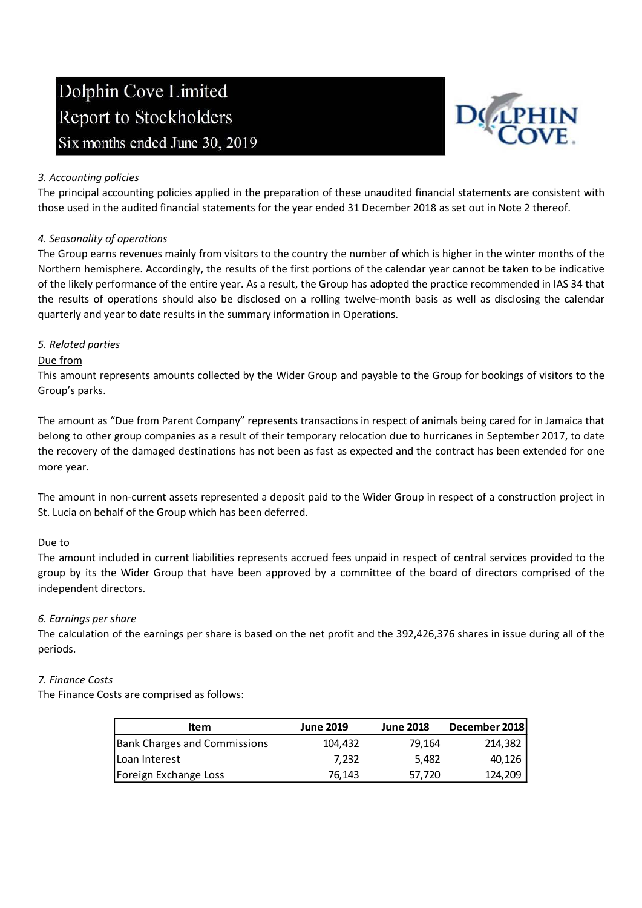

## 3. Accounting policies

The principal accounting policies applied in the preparation of these unaudited financial statements are consistent with those used in the audited financial statements for the year ended 31 December 2018 as set out in Note 2 thereof.

## 4. Seasonality of operations

The Group earns revenues mainly from visitors to the country the number of which is higher in the winter months of the Northern hemisphere. Accordingly, the results of the first portions of the calendar year cannot be taken to be indicative of the likely performance of the entire year. As a result, the Group has adopted the practice recommended in IAS 34 that the results of operations should also be disclosed on a rolling twelve-month basis as well as disclosing the calendar quarterly and year to date results in the summary information in Operations.

### 5. Related parties

### Due from

This amount represents amounts collected by the Wider Group and payable to the Group for bookings of visitors to the Group's parks.

The amount as "Due from Parent Company" represents transactions in respect of animals being cared for in Jamaica that belong to other group companies as a result of their temporary relocation due to hurricanes in September 2017, to date the recovery of the damaged destinations has not been as fast as expected and the contract has been extended for one more year.

The amount in non-current assets represented a deposit paid to the Wider Group in respect of a construction project in St. Lucia on behalf of the Group which has been deferred.

### Due to

The amount included in current liabilities represents accrued fees unpaid in respect of central services provided to the group by its the Wider Group that have been approved by a committee of the board of directors comprised of the independent directors.

### 6. Earnings per share

The calculation of the earnings per share is based on the net profit and the 392,426,376 shares in issue during all of the periods.

### 7. Finance Costs

The Finance Costs are comprised as follows:

| ltem                         | <b>June 2019</b> | <b>June 2018</b> | December 2018 |
|------------------------------|------------------|------------------|---------------|
| Bank Charges and Commissions | 104.432          | 79.164           | 214,382       |
| lLoan Interest               | 7.232            | 5.482            | 40,126        |
| Foreign Exchange Loss        | 76.143           | 57,720           | 124,209       |